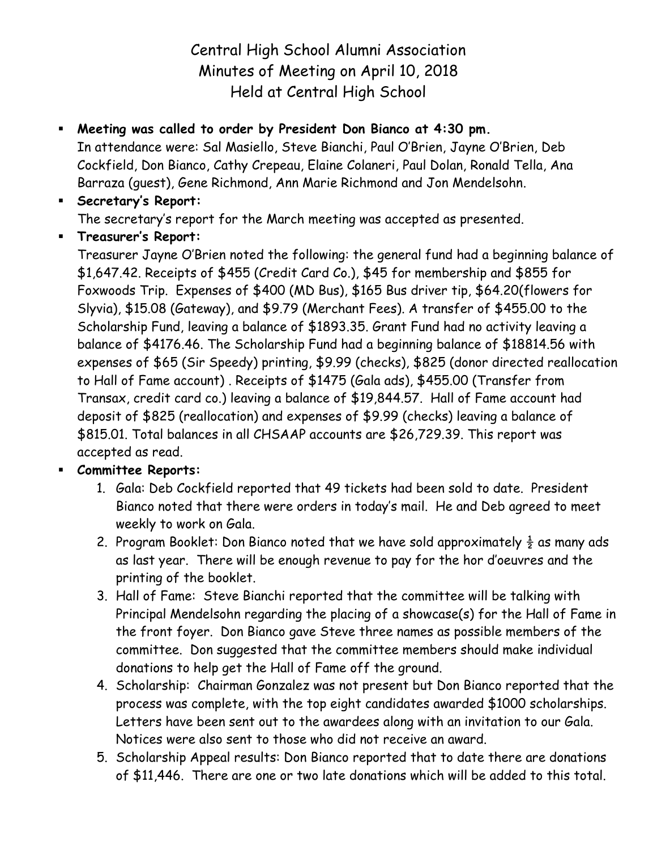Central High School Alumni Association Minutes of Meeting on April 10, 2018 Held at Central High School

## **Meeting was called to order by President Don Bianco at 4:30 pm.**

In attendance were: Sal Masiello, Steve Bianchi, Paul O'Brien, Jayne O'Brien, Deb Cockfield, Don Bianco, Cathy Crepeau, Elaine Colaneri, Paul Dolan, Ronald Tella, Ana Barraza (guest), Gene Richmond, Ann Marie Richmond and Jon Mendelsohn.

# **Secretary's Report:** The secretary's report for the March meeting was accepted as presented.

**Treasurer's Report:**

Treasurer Jayne O'Brien noted the following: the general fund had a beginning balance of \$1,647.42. Receipts of \$455 (Credit Card Co.), \$45 for membership and \$855 for Foxwoods Trip. Expenses of \$400 (MD Bus), \$165 Bus driver tip, \$64.20(flowers for Slyvia), \$15.08 (Gateway), and \$9.79 (Merchant Fees). A transfer of \$455.00 to the Scholarship Fund, leaving a balance of \$1893.35. Grant Fund had no activity leaving a balance of \$4176.46. The Scholarship Fund had a beginning balance of \$18814.56 with expenses of \$65 (Sir Speedy) printing, \$9.99 (checks), \$825 (donor directed reallocation to Hall of Fame account) . Receipts of \$1475 (Gala ads), \$455.00 (Transfer from Transax, credit card co.) leaving a balance of \$19,844.57. Hall of Fame account had deposit of \$825 (reallocation) and expenses of \$9.99 (checks) leaving a balance of \$815.01. Total balances in all CHSAAP accounts are \$26,729.39. This report was accepted as read.

## **Committee Reports:**

- 1. Gala: Deb Cockfield reported that 49 tickets had been sold to date. President Bianco noted that there were orders in today's mail. He and Deb agreed to meet weekly to work on Gala.
- 2. Program Booklet: Don Bianco noted that we have sold approximately  $\frac{1}{2}$  as many ads as last year. There will be enough revenue to pay for the hor d'oeuvres and the printing of the booklet.
- 3. Hall of Fame: Steve Bianchi reported that the committee will be talking with Principal Mendelsohn regarding the placing of a showcase(s) for the Hall of Fame in the front foyer. Don Bianco gave Steve three names as possible members of the committee. Don suggested that the committee members should make individual donations to help get the Hall of Fame off the ground.
- 4. Scholarship: Chairman Gonzalez was not present but Don Bianco reported that the process was complete, with the top eight candidates awarded \$1000 scholarships. Letters have been sent out to the awardees along with an invitation to our Gala. Notices were also sent to those who did not receive an award.
- 5. Scholarship Appeal results: Don Bianco reported that to date there are donations of \$11,446. There are one or two late donations which will be added to this total.